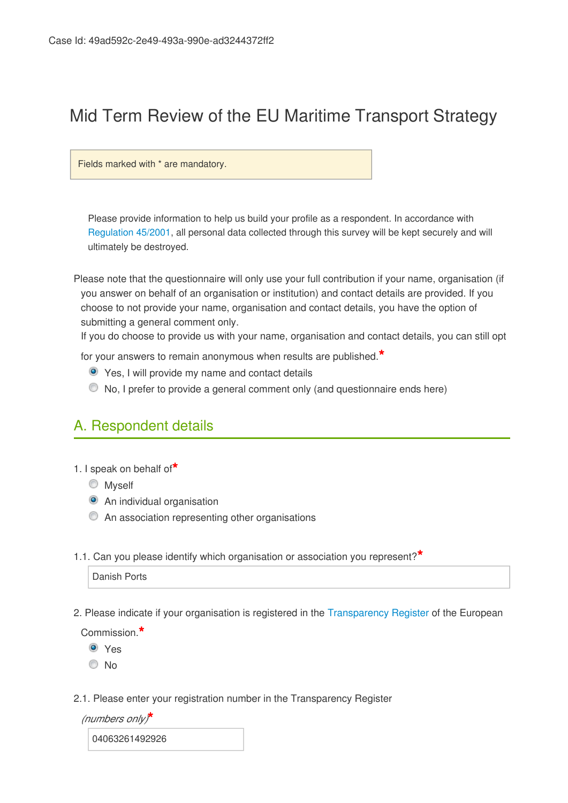# Mid Term Review of the EU Maritime Transport Strategy

Fields marked with \* are mandatory.

Please provide information to help us build your profile as a respondent. In accordance with [Regulation 45/2001](http://eur-lex.europa.eu/LexUriServ/LexUriServ.do?uri=CELEX:32001R0045:EN:NOT), all personal data collected through this survey will be kept securely and will ultimately be destroyed.

Please note that the questionnaire will only use your full contribution if your name, organisation (if you answer on behalf of an organisation or institution) and contact details are provided. If you choose to not provide your name, organisation and contact details, you have the option of submitting a general comment only.

If you do choose to provide us with your name, organisation and contact details, you can still opt

for your answers to remain anonymous when results are published.**\***

- Yes, I will provide my name and contact details
- No, I prefer to provide a general comment only (and questionnaire ends here)

# A. Respondent details

- 1. I speak on behalf of**\***
	- **Myself**
	- **•** An individual organisation
	- An association representing other organisations
- 1.1. Can you please identify which organisation or association you represent?**\***

Danish Ports

2. Please indicate if your organisation is registered in the [Transparency Register](http://europa.eu/transparency-register/index_en.htm) of the European

Commission.**\***

- **O** Yes
- © No
- 2.1. Please enter your registration number in the Transparency Register

*(numbers only)***\***

04063261492926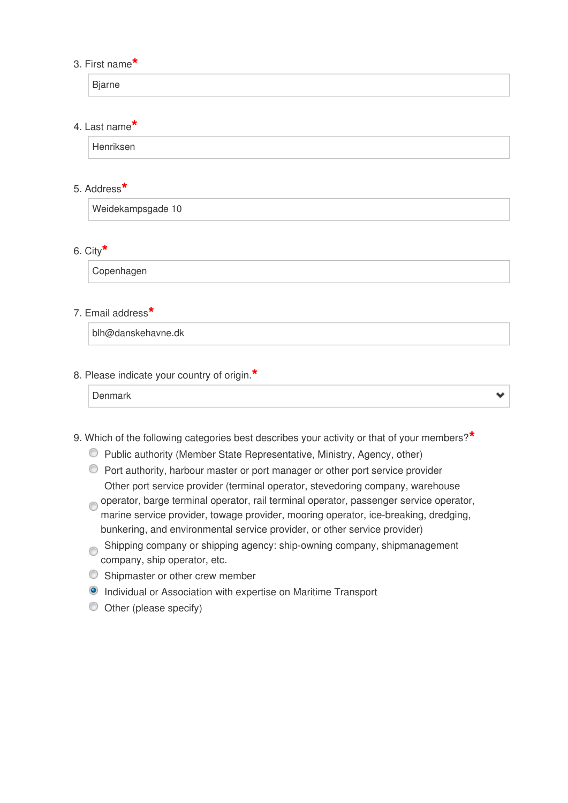#### 3. First name**\***

Bjarne

### 4. Last name**\***

Henriksen

### 5. Address**\***

Weidekampsgade 10

### 6. City**\***

Copenhagen

#### 7. Email address**\***

blh@danskehavne.dk

#### 8. Please indicate your country of origin.**\***

|--|--|--|

- 9. Which of the following categories best describes your activity or that of your members?**\***
	- Public authority (Member State Representative, Ministry, Agency, other)
	- Port authority, harbour master or port manager or other port service provider Other port service provider (terminal operator, stevedoring company, warehouse
	- operator, barge terminal operator, rail terminal operator, passenger service operator, marine service provider, towage provider, mooring operator, ice-breaking, dredging, bunkering, and environmental service provider, or other service provider)
	- Shipping company or shipping agency: ship-owning company, shipmanagement company, ship operator, etc.
	- C Shipmaster or other crew member
	- **O** Individual or Association with expertise on Maritime Transport
	- Other (please specify)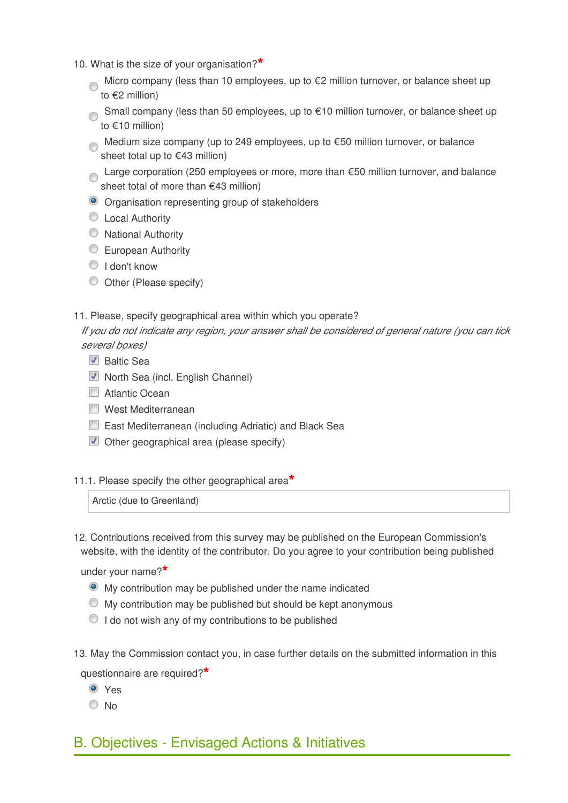- 10. What is the size of your organisation?**\***
	- Micro company (less than 10 employees, up to  $E$ 2 million turnover, or balance sheet up to €2 million)
	- Small company (less than 50 employees, up to €10 million turnover, or balance sheet up to €10 million)
	- Medium size company (up to 249 employees, up to €50 million turnover, or balance sheet total up to €43 million)
	- Large corporation (250 employees or more, more than €50 million turnover, and balance sheet total of more than €43 million)
	- Organisation representing group of stakeholders
	- C Local Authority
	- **National Authority**
	- **European Authority**
	- $\textcircled{1}$  I don't know
	- Other (Please specify)
- 11. Please, specify geographical area within which you operate?

*If you do not indicate any region, your answer shall be considered of general nature (you can tick several boxes)*

- Baltic Sea
- **North Sea (incl. English Channel)**
- **Natlantic Ocean**
- West Mediterranean
- East Mediterranean (including Adriatic) and Black Sea
- **Deta** Other geographical area (please specify)
- 11.1. Please specify the other geographical area**\***

Arctic (due to Greenland)

12. Contributions received from this survey may be published on the European Commission's website, with the identity of the contributor. Do you agree to your contribution being published

under your name?**\***

- My contribution may be published under the name indicated
- $\bullet$  My contribution may be published but should be kept anonymous
- $\bullet$  I do not wish any of my contributions to be published
- 13. May the Commission contact you, in case further details on the submitted information in this

questionnaire are required?**\***

- Yes
- © No
- B. Objectives Envisaged Actions & Initiatives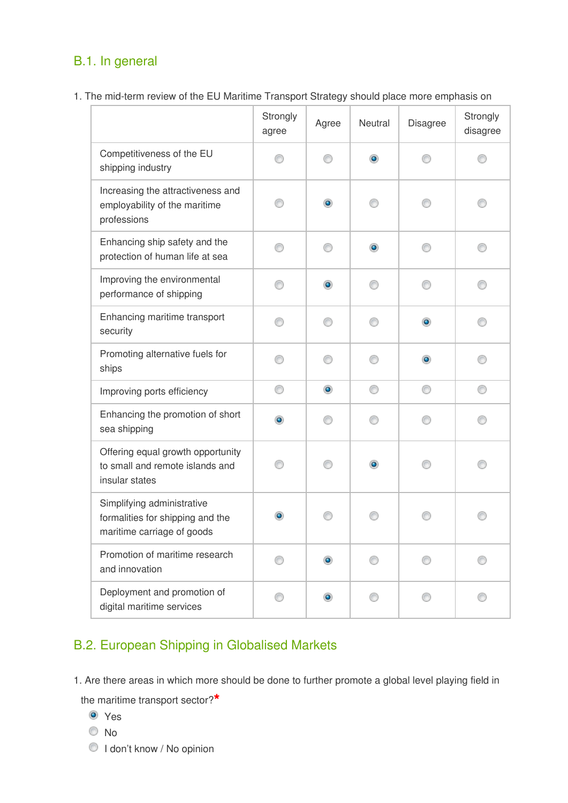# B.1. In general

1. The mid-term review of the EU Maritime Transport Strategy should place more emphasis on

|                                                                                              | Strongly<br>agree | Agree          | Neutral   | Disagree  | Strongly<br>disagree |
|----------------------------------------------------------------------------------------------|-------------------|----------------|-----------|-----------|----------------------|
| Competitiveness of the EU<br>shipping industry                                               |                   |                | $\bullet$ |           |                      |
| Increasing the attractiveness and<br>employability of the maritime<br>professions            |                   | $\circledcirc$ |           |           |                      |
| Enhancing ship safety and the<br>protection of human life at sea                             | n                 | ∩              | $\bullet$ | M         |                      |
| Improving the environmental<br>performance of shipping                                       | n                 | ۰              | ∩         |           |                      |
| Enhancing maritime transport<br>security                                                     | ∩                 | ∩              | ∩         | $\bullet$ |                      |
| Promoting alternative fuels for<br>ships                                                     | ∩                 | ⋒              | ∩         | ۰         |                      |
| Improving ports efficiency                                                                   | ⊙                 | $\circledcirc$ | ⊙         | 0         | ⊙                    |
| Enhancing the promotion of short<br>sea shipping                                             | $\bullet$         | ∩              | ∩         | M         | ∩                    |
| Offering equal growth opportunity<br>to small and remote islands and<br>insular states       |                   |                | $\bullet$ |           |                      |
| Simplifying administrative<br>formalities for shipping and the<br>maritime carriage of goods |                   |                |           |           |                      |
| Promotion of maritime research<br>and innovation                                             | ⊙                 | ۰              | ∩         | ∩         |                      |
| Deployment and promotion of<br>digital maritime services                                     | ⊙                 | $\bullet$      | ∩         | ∩         |                      |

# B.2. European Shipping in Globalised Markets

1. Are there areas in which more should be done to further promote a global level playing field in

the maritime transport sector?**\***

- <sup>O</sup> Yes
- No
- $\bigcirc$  I don't know / No opinion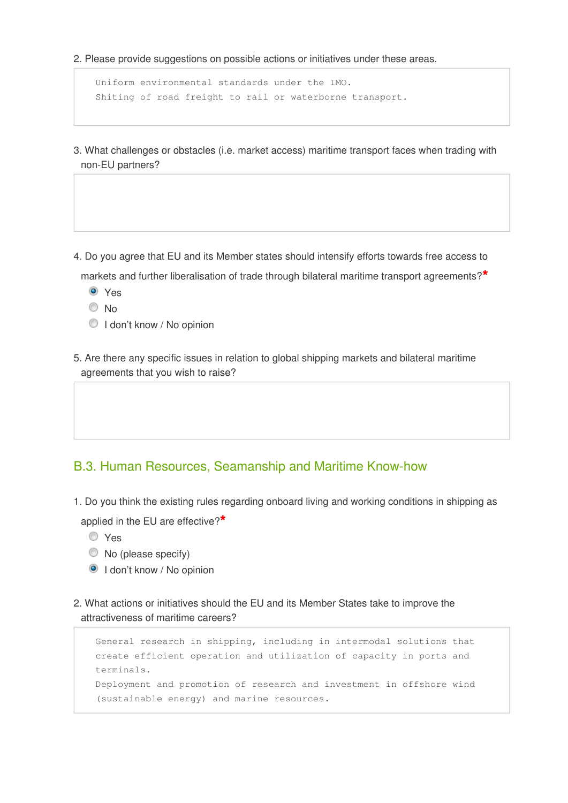2. Please provide suggestions on possible actions or initiatives under these areas.

```
Uniform environmental standards under the IMO. 
Shiting of road freight to rail or waterborne transport.
```
- 3. What challenges or obstacles (i.e. market access) maritime transport faces when trading with non-EU partners?
- 4. Do you agree that EU and its Member states should intensify efforts towards free access to

markets and further liberalisation of trade through bilateral maritime transport agreements?**\***

- Yes
- © No
- $\bigcirc$  I don't know / No opinion
- 5. Are there any specific issues in relation to global shipping markets and bilateral maritime agreements that you wish to raise?

### B.3. Human Resources, Seamanship and Maritime Know-how

1. Do you think the existing rules regarding onboard living and working conditions in shipping as

applied in the EU are effective?**\***

- Yes
- $\bullet$  No (please specify)
- **I** don't know / No opinion
- 2. What actions or initiatives should the EU and its Member States take to improve the attractiveness of maritime careers?

```
General research in shipping, including in intermodal solutions that
create efficient operation and utilization of capacity in ports and
terminals. 
Deployment and promotion of research and investment in offshore wind
(sustainable energy) and marine resources.
```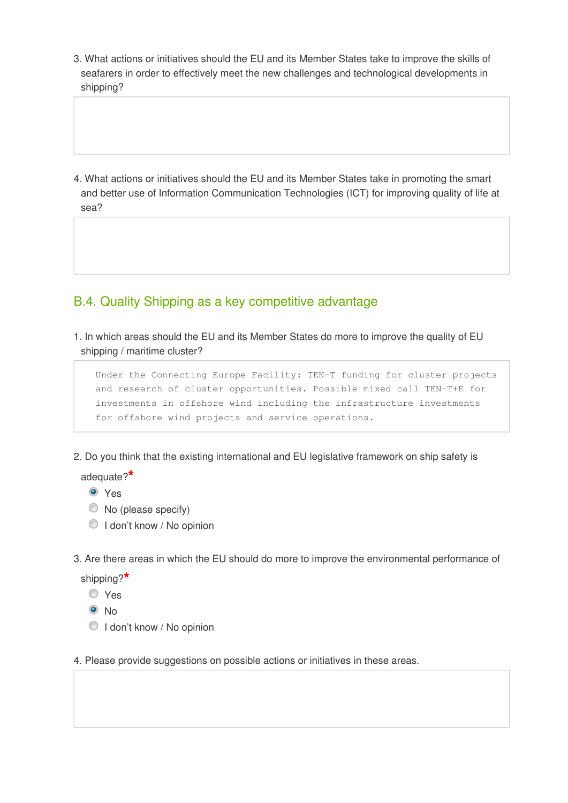3. What actions or initiatives should the EU and its Member States take to improve the skills of seafarers in order to effectively meet the new challenges and technological developments in shipping?

4. What actions or initiatives should the EU and its Member States take in promoting the smart and better use of Information Communication Technologies (ICT) for improving quality of life at sea?

### B.4. Quality Shipping as a key competitive advantage

1. In which areas should the EU and its Member States do more to improve the quality of EU shipping / maritime cluster?

Under the Connecting Europe Facility: TEN-T funding for cluster projects and research of cluster opportunities. Possible mixed call TEN-T+E for investments in offshore wind including the infrastructure investments for offshore wind projects and service operations.

2. Do you think that the existing international and EU legislative framework on ship safety is

adequate?**\***

- **O** Yes
- $\bullet$  No (please specify)
- $\bigcirc$  I don't know / No opinion
- 3. Are there areas in which the EU should do more to improve the environmental performance of

shipping?**\***

- Yes
- $\odot$  No
- $\bigcirc$  I don't know / No opinion
- 4. Please provide suggestions on possible actions or initiatives in these areas.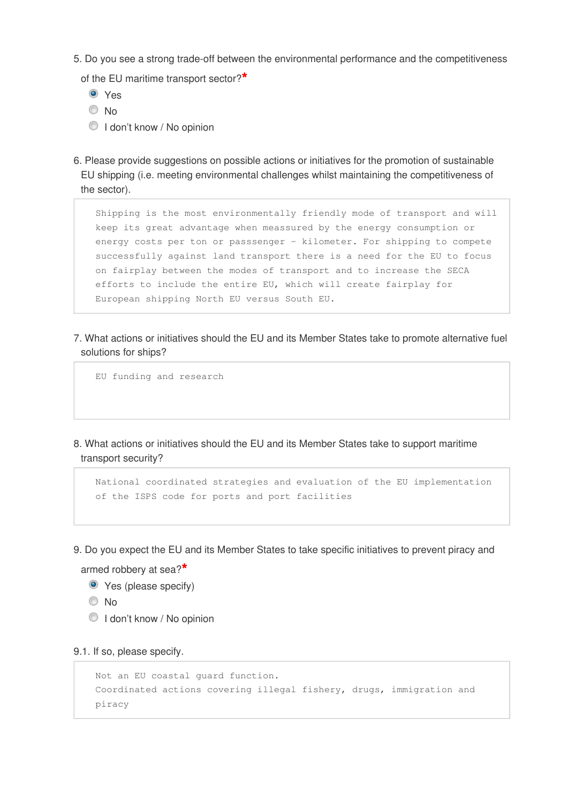5. Do you see a strong trade-off between the environmental performance and the competitiveness

of the EU maritime transport sector?**\***

- Yes
- © No
- **I** don't know / No opinion
- 6. Please provide suggestions on possible actions or initiatives for the promotion of sustainable EU shipping (i.e. meeting environmental challenges whilst maintaining the competitiveness of the sector).

Shipping is the most environmentally friendly mode of transport and will keep its great advantage when meassured by the energy consumption or energy costs per ton or passsenger - kilometer. For shipping to compete successfully against land transport there is a need for the EU to focus on fairplay between the modes of transport and to increase the SECA efforts to include the entire EU, which will create fairplay for European shipping North EU versus South EU.

7. What actions or initiatives should the EU and its Member States take to promote alternative fuel solutions for ships?

EU funding and research

8. What actions or initiatives should the EU and its Member States take to support maritime transport security?

National coordinated strategies and evaluation of the EU implementation of the ISPS code for ports and port facilities

9. Do you expect the EU and its Member States to take specific initiatives to prevent piracy and

armed robbery at sea?**\***

- Yes (please specify)
- © No
- **I** don't know / No opinion

9.1. If so, please specify.

```
Not an EU coastal guard function. 
Coordinated actions covering illegal fishery, drugs, immigration and
piracy
```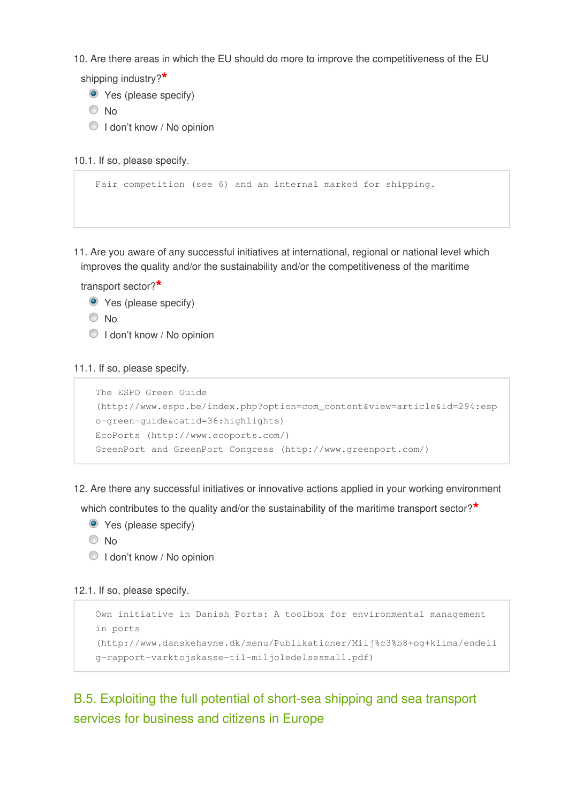10. Are there areas in which the EU should do more to improve the competitiveness of the EU

shipping industry?**\***

Yes (please specify)

© No

 $\bigcirc$  I don't know / No opinion

```
10.1. If so, please specify.
```

```
Fair competition (see 6) and an internal marked for shipping.
```
11. Are you aware of any successful initiatives at international, regional or national level which improves the quality and/or the sustainability and/or the competitiveness of the maritime

transport sector?**\***

- Yes (please specify)
- © No
- $\bigcirc$  I don't know / No opinion

11.1. If so, please specify.

```
The ESPO Green Guide
(http://www.espo.be/index.php?option=com_content&view=article&id=294:esp
o-green-guide&catid=36:highlights)
EcoPorts (http://www.ecoports.com/)
GreenPort and GreenPort Congress (http://www.greenport.com/)
```
12. Are there any successful initiatives or innovative actions applied in your working environment

which contributes to the quality and/or the sustainability of the maritime transport sector?**\***

- **•** Yes (please specify)
- $\odot$  No
- $\bigcirc$  I don't know / No opinion

#### 12.1. If so, please specify.

```
Own initiative in Danish Ports: A toolbox for environmental management
in ports
(http://www.danskehavne.dk/menu/Publikationer/Milj%c3%b8+og+klima/endeli
g-rapport-varktojskasse-til-miljoledelsesmall.pdf)
```
## B.5. Exploiting the full potential of short-sea shipping and sea transport services for business and citizens in Europe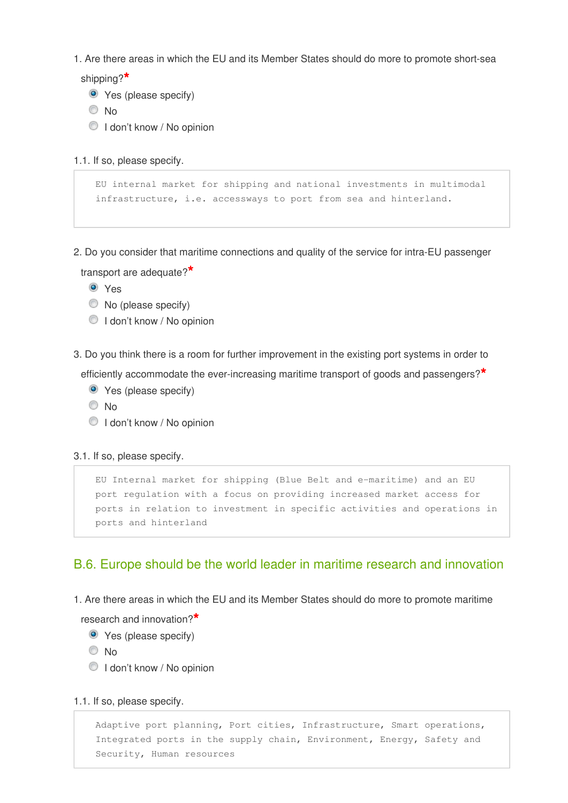1. Are there areas in which the EU and its Member States should do more to promote short-sea

shipping?**\***

- Yes (please specify)
- © No
- **I don't know / No opinion**

1.1. If so, please specify.

```
EU internal market for shipping and national investments in multimodal
infrastructure, i.e. accessways to port from sea and hinterland.
```
2. Do you consider that maritime connections and quality of the service for intra-EU passenger

transport are adequate?**\***

**O** Yes

- $\bullet$  No (please specify)
- $\bigcirc$  I don't know / No opinion
- 3. Do you think there is a room for further improvement in the existing port systems in order to

efficiently accommodate the ever-increasing maritime transport of goods and passengers?**\***

- **•** Yes (please specify)
- <sup>O</sup>No
- $\bigcirc$  I don't know / No opinion

3.1. If so, please specify.

```
EU Internal market for shipping (Blue Belt and e-maritime) and an EU
port regulation with a focus on providing increased market access for
ports in relation to investment in specific activities and operations in
ports and hinterland
```
### B.6. Europe should be the world leader in maritime research and innovation

1. Are there areas in which the EU and its Member States should do more to promote maritime

research and innovation?**\***

- **•** Yes (please specify)
- No
- $\bigcirc$  I don't know / No opinion

1.1. If so, please specify.

Adaptive port planning, Port cities, Infrastructure, Smart operations, Integrated ports in the supply chain, Environment, Energy, Safety and Security, Human resources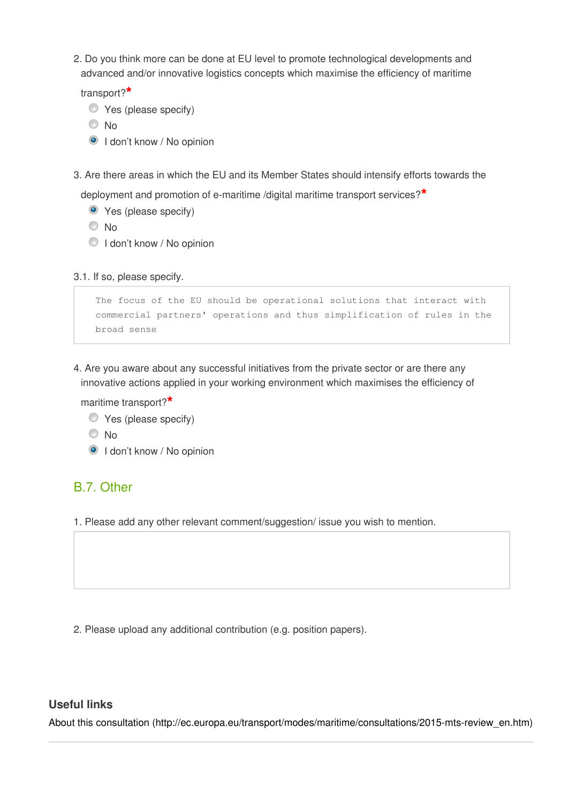2. Do you think more can be done at EU level to promote technological developments and advanced and/or innovative logistics concepts which maximise the efficiency of maritime

transport?**\***

- $\bullet$  Yes (please specify)
- © No
- <sup>O</sup> I don't know / No opinion
- 3. Are there areas in which the EU and its Member States should intensify efforts towards the
	- deployment and promotion of e-maritime /digital maritime transport services?**\***
		- Yes (please specify)
		- © No
		- $\bigcirc$  I don't know / No opinion

3.1. If so, please specify.

```
The focus of the EU should be operational solutions that interact with
commercial partners' operations and thus simplification of rules in the
broad sense
```
4. Are you aware about any successful initiatives from the private sector or are there any innovative actions applied in your working environment which maximises the efficiency of

maritime transport?**\***

- $\bullet$  Yes (please specify)
- <sup>O</sup>No
- <sup>O</sup> I don't know / No opinion

### B.7. Other

1. Please add any other relevant comment/suggestion/ issue you wish to mention.

2. Please upload any additional contribution (e.g. position papers).

### **Useful links**

[About this consultation \(http://ec.europa.eu/transport/modes/maritime/consultations/2015-mts-review\\_en.htm\)](http://ec.europa.eu/transport/modes/maritime/consultations/2015-mts-review_en.htm)